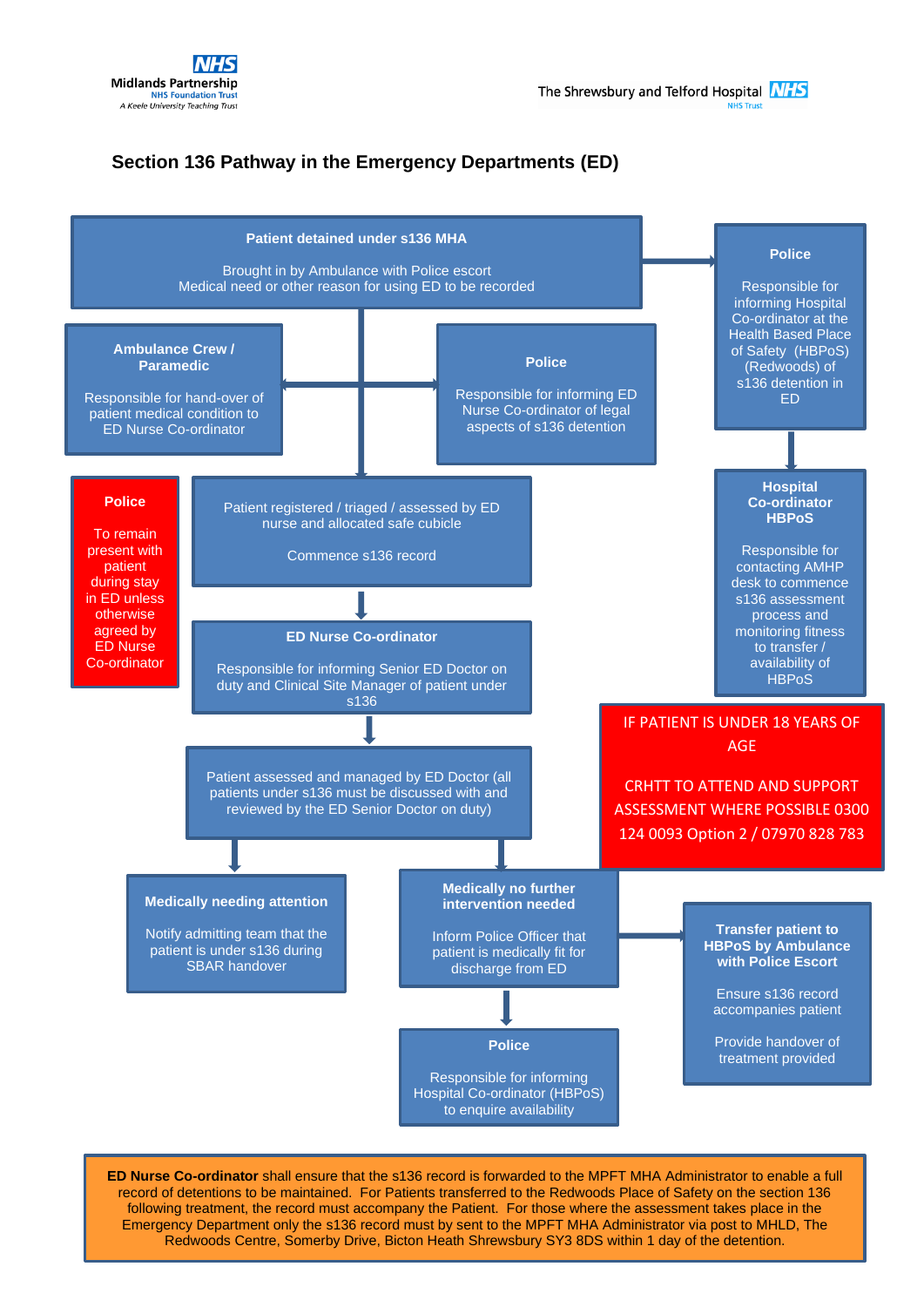

## **Section 136 Pathway in the Emergency Departments (ED)**



**ED Nurse Co-ordinator** shall ensure that the s136 record is forwarded to the MPFT MHA Administrator to enable a full record of detentions to be maintained. For Patients transferred to the Redwoods Place of Safety on the section 136 following treatment, the record must accompany the Patient. For those where the assessment takes place in the Emergency Department only the s136 record must by sent to the MPFT MHA Administrator via post to MHLD, The Redwoods Centre, Somerby Drive, Bicton Heath Shrewsbury SY3 8DS within 1 day of the detention.